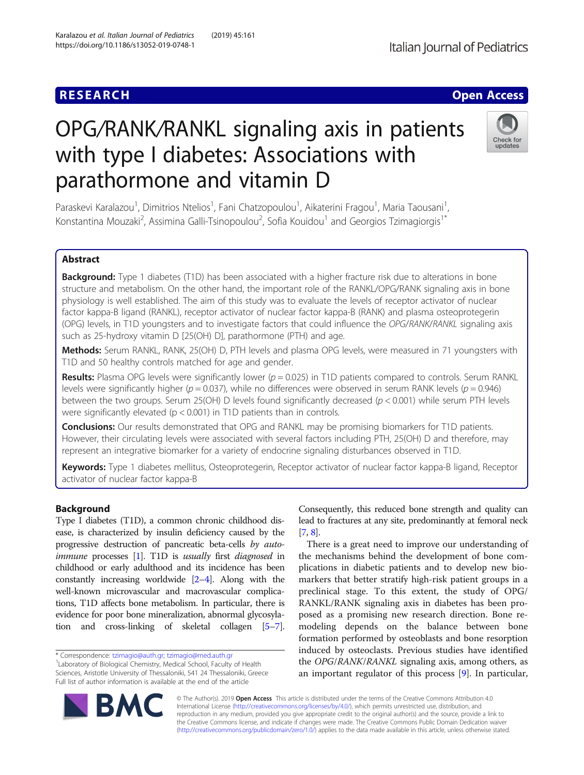# **RESEARCH CHE Open Access**

# OPG/RANK/RANKL signaling axis in patients with type I diabetes: Associations with parathormone and vitamin D

Paraskevi Karalazou<sup>1</sup>, Dimitrios Ntelios<sup>1</sup>, Fani Chatzopoulou<sup>1</sup>, Aikaterini Fragou<sup>1</sup>, Maria Taousani<sup>1</sup> , Konstantina Mouzaki<sup>2</sup>, Assimina Galli-Tsinopoulou<sup>2</sup>, Sofia Kouidou<sup>1</sup> and Georgios Tzimagiorgis<sup>1\*</sup>

# Abstract

Background: Type 1 diabetes (T1D) has been associated with a higher fracture risk due to alterations in bone structure and metabolism. On the other hand, the important role of the RANKL/OPG/RANK signaling axis in bone physiology is well established. The aim of this study was to evaluate the levels of receptor activator of nuclear factor kappa-B ligand (RANKL), receptor activator of nuclear factor kappa-B (RANK) and plasma osteoprotegerin (OPG) levels, in T1D youngsters and to investigate factors that could influence the OPG/RANK/RANKL signaling axis such as 25-hydroxy vitamin D [25(OH) D], parathormone (PTH) and age.

Methods: Serum RANKL, RANK, 25(OH) D, PTH levels and plasma OPG levels, were measured in 71 youngsters with T1D and 50 healthy controls matched for age and gender.

**Results:** Plasma OPG levels were significantly lower ( $p = 0.025$ ) in T1D patients compared to controls. Serum RANKL levels were significantly higher ( $p = 0.037$ ), while no differences were observed in serum RANK levels ( $p = 0.946$ ) between the two groups. Serum 25(OH) D levels found significantly decreased ( $p < 0.001$ ) while serum PTH levels were significantly elevated (p < 0.001) in T1D patients than in controls.

**Conclusions:** Our results demonstrated that OPG and RANKL may be promising biomarkers for T1D patients. However, their circulating levels were associated with several factors including PTH, 25(OH) D and therefore, may represent an integrative biomarker for a variety of endocrine signaling disturbances observed in T1D.

Keywords: Type 1 diabetes mellitus, Osteoprotegerin, Receptor activator of nuclear factor kappa-B ligand, Receptor activator of nuclear factor kappa-B

# Background

Type I diabetes (T1D), a common chronic childhood disease, is characterized by insulin deficiency caused by the progressive destruction of pancreatic beta-cells by auto-immune processes [[1](#page-5-0)]. T1D is usually first diagnosed in childhood or early adulthood and its incidence has been constantly increasing worldwide  $[2-4]$  $[2-4]$  $[2-4]$ . Along with the well-known microvascular and macrovascular complications, T1D affects bone metabolism. In particular, there is evidence for poor bone mineralization, abnormal glycosylation and cross-linking of skeletal collagen [\[5](#page-5-0)–[7](#page-5-0)].

\* Correspondence: [tzimagio@auth.gr;](mailto:tzimagio@auth.gr) [tzimagio@med.auth.gr](mailto:tzimagio@med.auth.gr) <sup>1</sup>

<sup>1</sup> Laboratory of Biological Chemistry, Medical School, Faculty of Health Sciences, Aristotle University of Thessaloniki, 541 24 Thessaloniki, Greece Full list of author information is available at the end of the article

> © The Author(s). 2019 Open Access This article is distributed under the terms of the Creative Commons Attribution 4.0 International License [\(http://creativecommons.org/licenses/by/4.0/](http://creativecommons.org/licenses/by/4.0/)), which permits unrestricted use, distribution, and reproduction in any medium, provided you give appropriate credit to the original author(s) and the source, provide a link to the Creative Commons license, and indicate if changes were made. The Creative Commons Public Domain Dedication waiver [\(http://creativecommons.org/publicdomain/zero/1.0/](http://creativecommons.org/publicdomain/zero/1.0/)) applies to the data made available in this article, unless otherwise stated.

Consequently, this reduced bone strength and quality can lead to fractures at any site, predominantly at femoral neck [[7](#page-5-0), [8\]](#page-5-0).

There is a great need to improve our understanding of the mechanisms behind the development of bone complications in diabetic patients and to develop new biomarkers that better stratify high-risk patient groups in a preclinical stage. To this extent, the study of OPG/ RANKL/RANK signaling axis in diabetes has been proposed as a promising new research direction. Bone remodeling depends on the balance between bone formation performed by osteoblasts and bone resorption induced by osteoclasts. Previous studies have identified the OPG/RANK/RANKL signaling axis, among others, as an important regulator of this process [[9\]](#page-5-0). In particular,



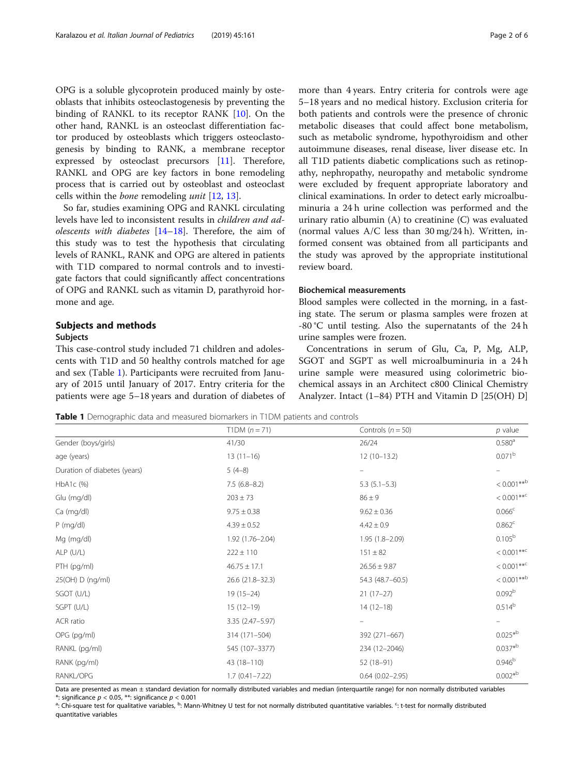<span id="page-1-0"></span>OPG is a soluble glycoprotein produced mainly by osteoblasts that inhibits osteoclastogenesis by preventing the binding of RANKL to its receptor RANK [[10\]](#page-5-0). On the other hand, RANKL is an osteoclast differentiation factor produced by osteoblasts which triggers osteoclastogenesis by binding to RANK, a membrane receptor expressed by osteoclast precursors [[11\]](#page-5-0). Therefore, RANKL and OPG are key factors in bone remodeling process that is carried out by osteoblast and osteoclast cells within the bone remodeling unit [[12,](#page-5-0) [13\]](#page-5-0).

So far, studies examining OPG and RANKL circulating levels have led to inconsistent results in children and adolescents with diabetes [[14](#page-5-0)–[18](#page-5-0)]. Therefore, the aim of this study was to test the hypothesis that circulating levels of RANKL, RANK and OPG are altered in patients with T1D compared to normal controls and to investigate factors that could significantly affect concentrations of OPG and RANKL such as vitamin D, parathyroid hormone and age.

# Subjects and methods

# Subjects

This case-control study included 71 children and adolescents with T1D and 50 healthy controls matched for age and sex (Table 1). Participants were recruited from January of 2015 until January of 2017. Entry criteria for the patients were age 5–18 years and duration of diabetes of

more than 4 years. Entry criteria for controls were age 5–18 years and no medical history. Exclusion criteria for both patients and controls were the presence of chronic metabolic diseases that could affect bone metabolism, such as metabolic syndrome, hypothyroidism and other autoimmune diseases, renal disease, liver disease etc. In all T1D patients diabetic complications such as retinopathy, nephropathy, neuropathy and metabolic syndrome were excluded by frequent appropriate laboratory and clinical examinations. In order to detect early microalbuminuria a 24 h urine collection was performed and the urinary ratio albumin (A) to creatinine (C) was evaluated (normal values A/C less than 30 mg/24 h). Written, informed consent was obtained from all participants and the study was aproved by the appropriate institutional review board.

## Biochemical measurements

Blood samples were collected in the morning, in a fasting state. The serum or plasma samples were frozen at -80 °C until testing. Also the supernatants of the 24 h urine samples were frozen.

Concentrations in serum of Glu, Ca, P, Mg, ALP, SGOT and SGPT as well microalbuminuria in a 24 h urine sample were measured using colorimetric biochemical assays in an Architect c800 Clinical Chemistry Analyzer. Intact (1–84) PTH and Vitamin D [25(OH) D]

**Table 1** Demographic data and measured biomarkers in T1DM patients and controls

|                              | T1DM $(n = 71)$    | Controls ( $n = 50$ ) | $p$ value                 |
|------------------------------|--------------------|-----------------------|---------------------------|
| Gender (boys/girls)          | 41/30              | 26/24                 | 0.580 <sup>a</sup>        |
| age (years)                  | $13(11-16)$        | $12(10-13.2)$         | 0.071 <sup>b</sup>        |
| Duration of diabetes (years) | $5(4-8)$           | $\qquad \qquad -$     | $\overline{\phantom{0}}$  |
| HbA1c (%)                    | $7.5(6.8-8.2)$     | $5.3(5.1-5.3)$        | $< 0.001***^{\rm b}$      |
| Glu (mg/dl)                  | $203 \pm 73$       | $86 \pm 9$            | $< 0.001***c$             |
| Ca (mg/dl)                   | $9.75 \pm 0.38$    | $9.62 \pm 0.36$       | 0.066 <sup>c</sup>        |
| $P$ (mg/dl)                  | $4.39 \pm 0.52$    | $4.42 \pm 0.9$        | 0.862 <sup>c</sup>        |
| Mg (mg/dl)                   | 1.92 (1.76-2.04)   | $1.95(1.8 - 2.09)$    | $0.105^{\rm b}$           |
| $ALP$ (U/L)                  | $222 \pm 110$      | $151 \pm 82$          | $< 0.001$ ** <sup>c</sup> |
| PTH (pg/ml)                  | $46.75 \pm 17.1$   | $26.56 \pm 9.87$      | $< 0.001$ ** <sup>c</sup> |
| 25(OH) D (ng/ml)             | 26.6 (21.8-32.3)   | 54.3 (48.7-60.5)      | $< 0.001***$              |
| SGOT (U/L)                   | $19(15-24)$        | $21(17-27)$           | 0.092 <sup>b</sup>        |
| SGPT (U/L)                   | $15(12-19)$        | $14(12-18)$           | 0.514 <sup>b</sup>        |
| ACR ratio                    | 3.35 (2.47-5.97)   |                       |                           |
| OPG (pg/ml)                  | 314 (171-504)      | 392 (271-667)         | $0.025*^{b}$              |
| RANKL (pg/ml)                | 545 (107-3377)     | 234 (12-2046)         | $0.037*^{b}$              |
| RANK (pg/ml)                 | 43 (18-110)        | $52(18-91)$           | $0.946^{b}$               |
| RANKL/OPG                    | $1.7(0.41 - 7.22)$ | $0.64(0.02 - 2.95)$   | $0.002*^{b}$              |

Data are presented as mean ± standard deviation for normally distributed variables and median (interquartile range) for non normally distributed variables \*: significance  $p < 0.05$ , \*\*: significance  $p < 0.001$ 

: Chi-square test for qualitative variables, <sup>b</sup>: Mann-Whitney U test for not normally distributed quantitative variables. <sup>c</sup>: t-test for normally distributed quantitative variables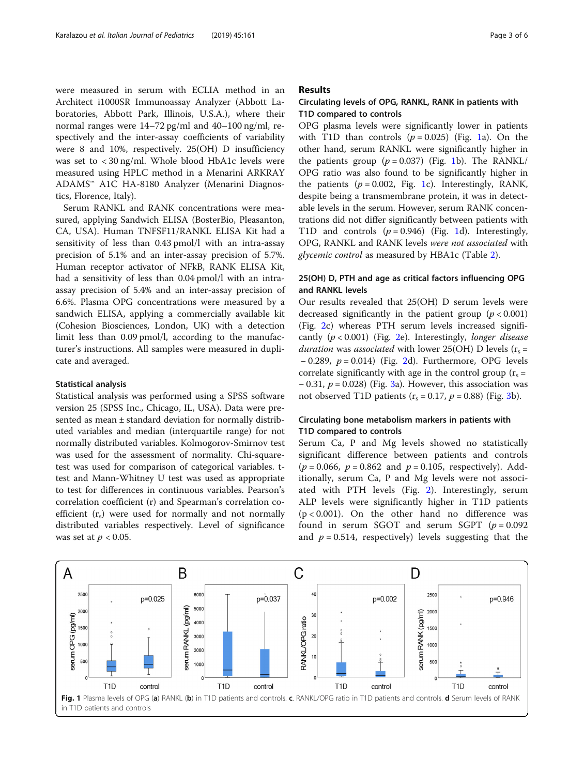were measured in serum with ECLIA method in an Architect i1000SR Immunoassay Analyzer (Abbott Laboratories, Abbott Park, Illinois, U.S.A.), where their normal ranges were 14–72 pg/ml and 40–100 ng/ml, respectively and the inter-assay coefficients of variability were 8 and 10%, respectively. 25(OH) D insufficiency was set to < 30 ng/ml. Whole blood HbA1c levels were measured using HPLC method in a Menarini ARKRAY ADAMS™ A1C HA-8180 Analyzer (Menarini Diagnostics, Florence, Italy).

Serum RANKL and RANK concentrations were measured, applying Sandwich ELISA (BosterBio, Pleasanton, CA, USA). Human TNFSF11/RANKL ELISA Kit had a sensitivity of less than 0.43 pmol/l with an intra-assay precision of 5.1% and an inter-assay precision of 5.7%. Human receptor activator of NFkB, RANK ELISA Kit, had a sensitivity of less than 0.04 pmol/l with an intraassay precision of 5.4% and an inter-assay precision of 6.6%. Plasma OPG concentrations were measured by a sandwich ELISA, applying a commercially available kit (Cohesion Biosciences, London, UK) with a detection limit less than 0.09 pmol/l, according to the manufacturer's instructions. All samples were measured in duplicate and averaged.

#### Statistical analysis

Statistical analysis was performed using a SPSS software version 25 (SPSS Inc., Chicago, IL, USA). Data were presented as mean ± standard deviation for normally distributed variables and median (interquartile range) for not normally distributed variables. Kolmogorov-Smirnov test was used for the assessment of normality. Chi-squaretest was used for comparison of categorical variables. ttest and Mann-Whitney U test was used as appropriate to test for differences in continuous variables. Pearson's correlation coefficient (r) and Spearman's correlation coefficient  $(r<sub>s</sub>)$  were used for normally and not normally distributed variables respectively. Level of significance was set at  $p < 0.05$ .

### Results

# Circulating levels of OPG, RANKL, RANK in patients with Τ1D compared to controls

OPG plasma levels were significantly lower in patients with T1D than controls  $(p = 0.025)$  (Fig. 1a). On the other hand, serum RANKL were significantly higher in the patients group  $(p = 0.037)$  (Fig. 1b). The RANKL/ OPG ratio was also found to be significantly higher in the patients ( $p = 0.002$ , Fig. 1c). Interestingly, RANK, despite being a transmembrane protein, it was in detectable levels in the serum. However, serum RANK concentrations did not differ significantly between patients with T1D and controls  $(p = 0.946)$  (Fig. 1d). Interestingly, OPG, RANKL and RANK levels were not associated with glycemic control as measured by HBA1c (Table [2](#page-3-0)).

# 25(OH) D, PTH and age as critical factors influencing OPG and RANKL levels

Our results revealed that 25(OH) D serum levels were decreased significantly in the patient group  $(p < 0.001)$ (Fig. [2c](#page-3-0)) whereas PTH serum levels increased significantly  $(p < 0.001)$  (Fig. [2](#page-3-0)e). Interestingly, longer disease *duration* was *associated* with lower 25(OH) D levels ( $r_s$  =  $-0.289$ ,  $p = 0.014$ ) (Fig. [2d](#page-3-0)). Furthermore, OPG levels correlate significantly with age in the control group  $(r_s =$  $-0.31$  $-0.31$  $-0.31$ ,  $p = 0.028$ ) (Fig. 3a). However, this association was not observed T1D patients  $(r_s = 0.17, p = 0.88)$  (Fig. [3b](#page-4-0)).

# Circulating bone metabolism markers in patients with Τ1D compared to controls

Serum Ca, P and Mg levels showed no statistically significant difference between patients and controls  $(p = 0.066, p = 0.862 \text{ and } p = 0.105, \text{ respectively). Add$ itionally, serum Ca, P and Mg levels were not associated with PTH levels (Fig. [2\)](#page-3-0). Interestingly, serum ALP levels were significantly higher in T1D patients  $(p < 0.001)$ . On the other hand no difference was found in serum SGOT and serum SGPT  $(p = 0.092)$ and  $p = 0.514$ , respectively) levels suggesting that the

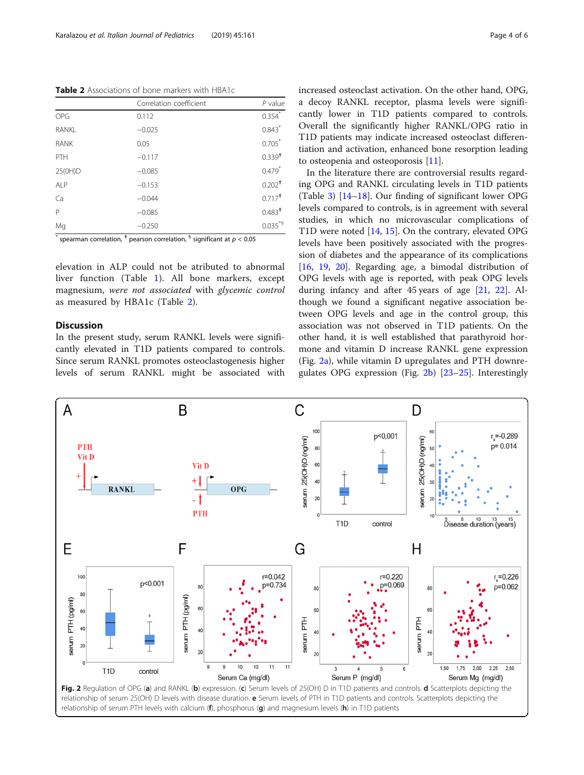<span id="page-3-0"></span>Table 2 Associations of bone markers with HBA1c

|             | Correlation coefficient | $P$ value            |
|-------------|-------------------------|----------------------|
| OPG         | 0.112                   | $0.354$ <sup>*</sup> |
| RANKL       | $-0.025$                | $0.843*$             |
| <b>RANK</b> | 0.05                    | $0.705*$             |
| PTH         | $-0.117$                | 0.339 <sup>†</sup>   |
| 25(0H)D     | $-0.085$                | $0.479*$             |
| <b>ALP</b>  | $-0.153$                | $0.202$ <sup>+</sup> |
| Ca          | $-0.044$                | $0.717$ <sup>t</sup> |
| P           | $-0.085$                | $0.483$ <sup>+</sup> |
| Mg          | $-0.250$                | $0.035^{*6}$         |

 $*$  spearman correlation,  $*$  pearson correlation,  $*$  significant at  $p < 0.05$ 

elevation in ALP could not be atributed to abnormal liver function (Table [1](#page-1-0)). All bone markers, except magnesium, were not associated with glycemic control as measured by HBA1c (Table 2).

# **Discussion**

In the present study, serum RANKL levels were significantly elevated in T1D patients compared to controls. Since serum RANKL promotes osteoclastogenesis higher levels of serum RANKL might be associated with increased osteoclast activation. On the other hand, OPG, a decoy RANKL receptor, plasma levels were significantly lower in T1D patients compared to controls. Overall the significantly higher RANKL/OPG ratio in T1D patients may indicate increased osteoclast differentiation and activation, enhanced bone resorption leading to osteopenia and osteoporosis [\[11](#page-5-0)].

In the literature there are controversial results regarding OPG and RANKL circulating levels in T1D patients (Table [3](#page-4-0)) [[14](#page-5-0)–[18\]](#page-5-0). Our finding of significant lower OPG levels compared to controls, is in agreement with several studies, in which no microvascular complications of T1D were noted [[14,](#page-5-0) [15\]](#page-5-0). On the contrary, elevated OPG levels have been positively associated with the progression of diabetes and the appearance of its complications [[16,](#page-5-0) [19,](#page-5-0) [20](#page-5-0)]. Regarding age, a bimodal distribution of OPG levels with age is reported, with peak OPG levels during infancy and after 45 years of age [[21,](#page-5-0) [22\]](#page-5-0). Although we found a significant negative association between OPG levels and age in the control group, this association was not observed in T1D patients. On the other hand, it is well established that parathyroid hormone and vitamin D increase RANKL gene expression (Fig. 2a), while vitamin D upregulates and PTH downregulates OPG expression (Fig. 2b) [\[23](#page-5-0)–[25\]](#page-5-0). Interestingly



relationship of serum PTH levels with calcium  $(f)$ , phosphorus  $(g)$  and magnesium levels  $(h)$  in T1D patients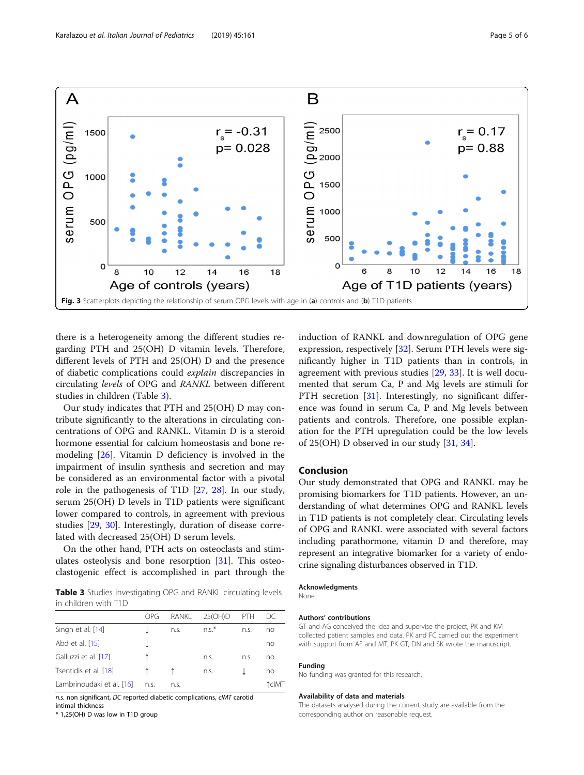<span id="page-4-0"></span>

there is a heterogeneity among the different studies regarding PTH and 25(OH) D vitamin levels. Therefore, different levels of PTH and 25(OH) D and the presence of diabetic complications could explain discrepancies in circulating levels of OPG and RANKL between different studies in children (Table 3).

Our study indicates that PTH and 25(OH) D may contribute significantly to the alterations in circulating concentrations of OPG and RANKL. Vitamin D is a steroid hormone essential for calcium homeostasis and bone remodeling [\[26](#page-5-0)]. Vitamin D deficiency is involved in the impairment of insulin synthesis and secretion and may be considered as an environmental factor with a pivotal role in the pathogenesis of T1D [\[27,](#page-5-0) [28\]](#page-5-0). In our study, serum 25(OH) D levels in T1D patients were significant lower compared to controls, in agreement with previous studies [[29,](#page-5-0) [30](#page-5-0)]. Interestingly, duration of disease correlated with decreased 25(OH) D serum levels.

On the other hand, PTH acts on osteoclasts and stimulates osteolysis and bone resorption [[31](#page-5-0)]. This osteoclastogenic effect is accomplished in part through the

Table 3 Studies investigating OPG and RANKL circulating levels in children with T1D

|                           | OPG  | RANKL | 25(OH)D | PTH  | DC    |
|---------------------------|------|-------|---------|------|-------|
| Singh et al. [14]         |      | n.s.  | $n.s.*$ | n.s. | no    |
| Abd et al. [15]           |      |       |         |      | no    |
| Galluzzi et al. [17]      |      |       | n.s.    | n.s. | no    |
| Tsentidis et al. [18]     |      |       | n.s.    |      | no    |
| Lambrinoudaki et al. [16] | n.s. | n.s.  |         |      | 1clMT |

n.s. non significant, DC reported diabetic complications, cIMT carotid intimal thickness

\* 1,25(OH) D was low in T1D group

induction of RANKL and downregulation of OPG gene expression, respectively [\[32](#page-5-0)]. Serum PTH levels were significantly higher in T1D patients than in controls, in agreement with previous studies [[29](#page-5-0), [33](#page-5-0)]. It is well documented that serum Ca, P and Mg levels are stimuli for PTH secretion [[31\]](#page-5-0). Interestingly, no significant difference was found in serum Ca, P and Mg levels between patients and controls. Therefore, one possible explanation for the PTH upregulation could be the low levels of 25(OH) D observed in our study [\[31,](#page-5-0) [34\]](#page-5-0).

### Conclusion

Our study demonstrated that OPG and RANKL may be promising biomarkers for T1D patients. However, an understanding of what determines OPG and RANKL levels in T1D patients is not completely clear. Circulating levels of OPG and RANKL were associated with several factors including parathormone, vitamin D and therefore, may represent an integrative biomarker for a variety of endocrine signaling disturbances observed in T1D.

#### Acknowledgments

None.

#### Authors' contributions

GT and AG conceived the idea and supervise the project, PK and KM collected patient samples and data. PK and FC carried out the experiment with support from AF and MT, PK GT, DN and SK wrote the manuscript.

#### Funding

No funding was granted for this research.

#### Availability of data and materials

The datasets analysed during the current study are available from the corresponding author on reasonable request.